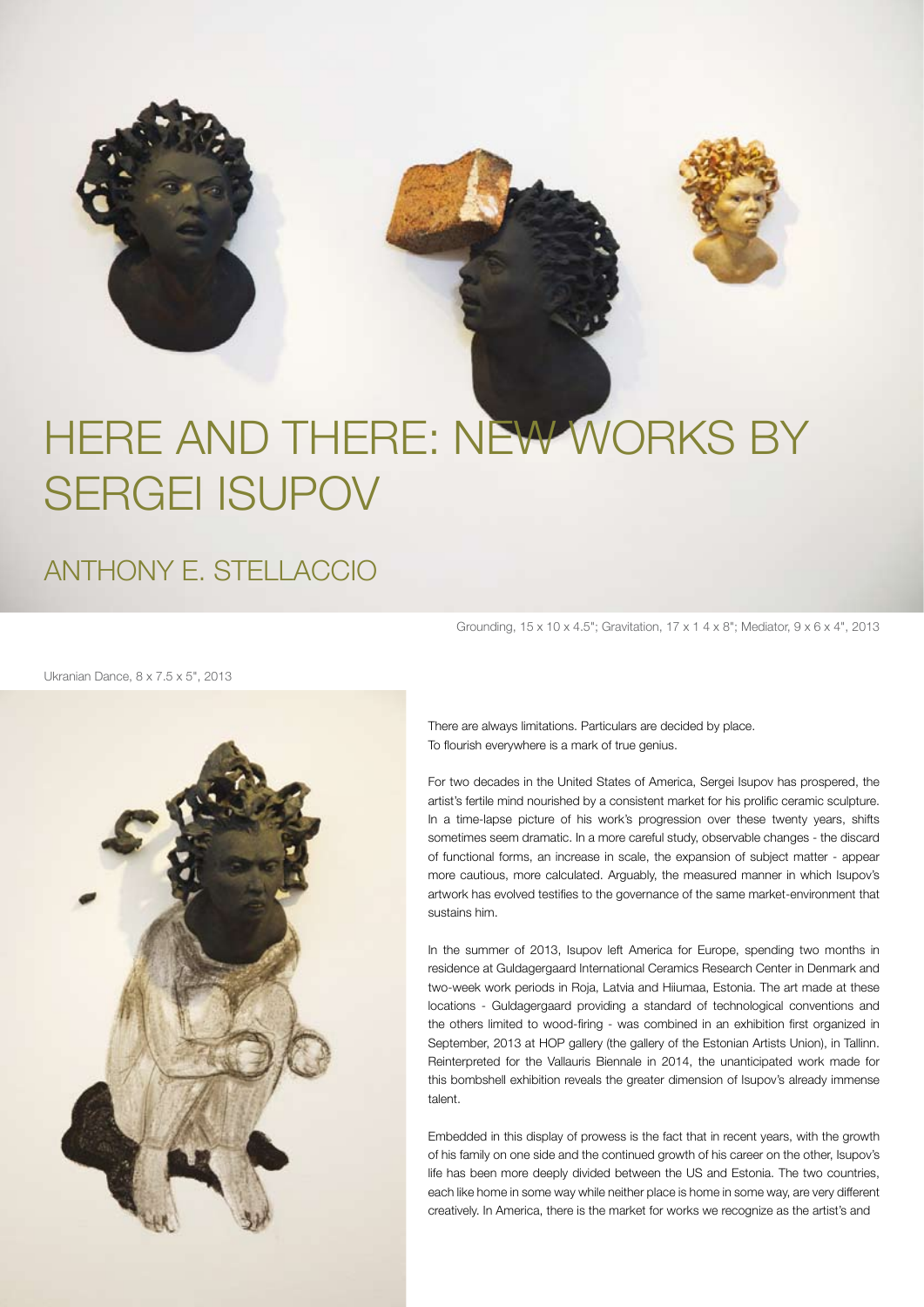

## HERE AND THERE: NEW WORKS BY SERGEI isupov

anthony e. stellaccio

Grounding, 15 x 10 x 4.5"; Gravitation, 17 x 1 4 x 8"; Mediator, 9 x 6 x 4", 2013

Ukranian Dance, 8 x 7.5 x 5", 2013



There are always limitations. Particulars are decided by place. To flourish everywhere is a mark of true genius.

For two decades in the United States of America, Sergei Isupov has prospered, the artist's fertile mind nourished by a consistent market for his prolific ceramic sculpture. In a time-lapse picture of his work's progression over these twenty years, shifts sometimes seem dramatic. In a more careful study, observable changes - the discard of functional forms, an increase in scale, the expansion of subject matter - appear more cautious, more calculated. Arguably, the measured manner in which Isupov's artwork has evolved testifies to the governance of the same market-environment that sustains him.

In the summer of 2013, Isupov left America for Europe, spending two months in residence at Guldagergaard International Ceramics Research Center in Denmark and two-week work periods in Roja, Latvia and Hiiumaa, Estonia. The art made at these locations - Guldagergaard providing a standard of technological conventions and the others limited to wood-firing - was combined in an exhibition first organized in September, 2013 at HOP gallery (the gallery of the Estonian Artists Union), in Tallinn. Reinterpreted for the Vallauris Biennale in 2014, the unanticipated work made for this bombshell exhibition reveals the greater dimension of Isupov's already immense talent.

Embedded in this display of prowess is the fact that in recent years, with the growth of his family on one side and the continued growth of his career on the other, Isupov's life has been more deeply divided between the US and Estonia. The two countries, each like home in some way while neither place is home in some way, are very different creatively. In America, there is the market for works we recognize as the artist's and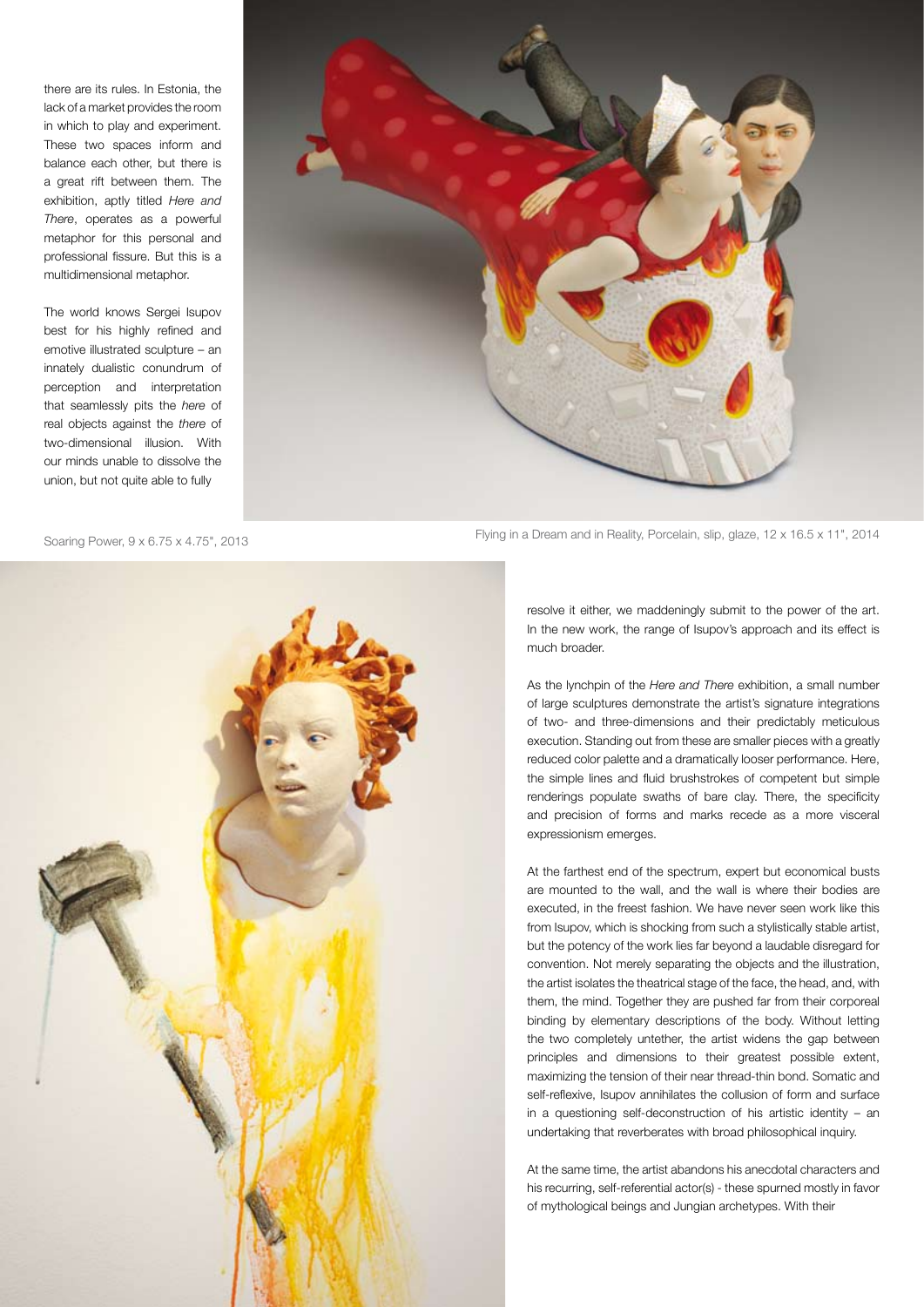there are its rules. In Estonia, the lack of a market provides the room in which to play and experiment. These two spaces inform and balance each other, but there is a great rift between them. The exhibition, aptly titled *Here and There*, operates as a powerful metaphor for this personal and professional fissure. But this is a multidimensional metaphor.

The world knows Sergei Isupov best for his highly refined and emotive illustrated sculpture – an innately dualistic conundrum of perception and interpretation that seamlessly pits the *here* of real objects against the *there* of two-dimensional illusion. With our minds unable to dissolve the union, but not quite able to fully





Flying in a Dream and in Reality, Porcelain, slip, glaze, 12 x 16.5 x 11", 2014 Soaring Power, 9 x 6.75 x 4.75", 2013

resolve it either, we maddeningly submit to the power of the art. In the new work, the range of Isupov's approach and its effect is much broader.

As the lynchpin of the *Here and There* exhibition, a small number of large sculptures demonstrate the artist's signature integrations of two- and three-dimensions and their predictably meticulous execution. Standing out from these are smaller pieces with a greatly reduced color palette and a dramatically looser performance. Here, the simple lines and fluid brushstrokes of competent but simple renderings populate swaths of bare clay. There, the specificity and precision of forms and marks recede as a more visceral expressionism emerges.

At the farthest end of the spectrum, expert but economical busts are mounted to the wall, and the wall is where their bodies are executed, in the freest fashion. We have never seen work like this from Isupov, which is shocking from such a stylistically stable artist, but the potency of the work lies far beyond a laudable disregard for convention. Not merely separating the objects and the illustration, the artist isolates the theatrical stage of the face, the head, and, with them, the mind. Together they are pushed far from their corporeal binding by elementary descriptions of the body. Without letting the two completely untether, the artist widens the gap between principles and dimensions to their greatest possible extent, maximizing the tension of their near thread-thin bond. Somatic and self-reflexive, Isupov annihilates the collusion of form and surface in a questioning self-deconstruction of his artistic identity – an undertaking that reverberates with broad philosophical inquiry.

At the same time, the artist abandons his anecdotal characters and his recurring, self-referential actor(s) - these spurned mostly in favor of mythological beings and Jungian archetypes. With their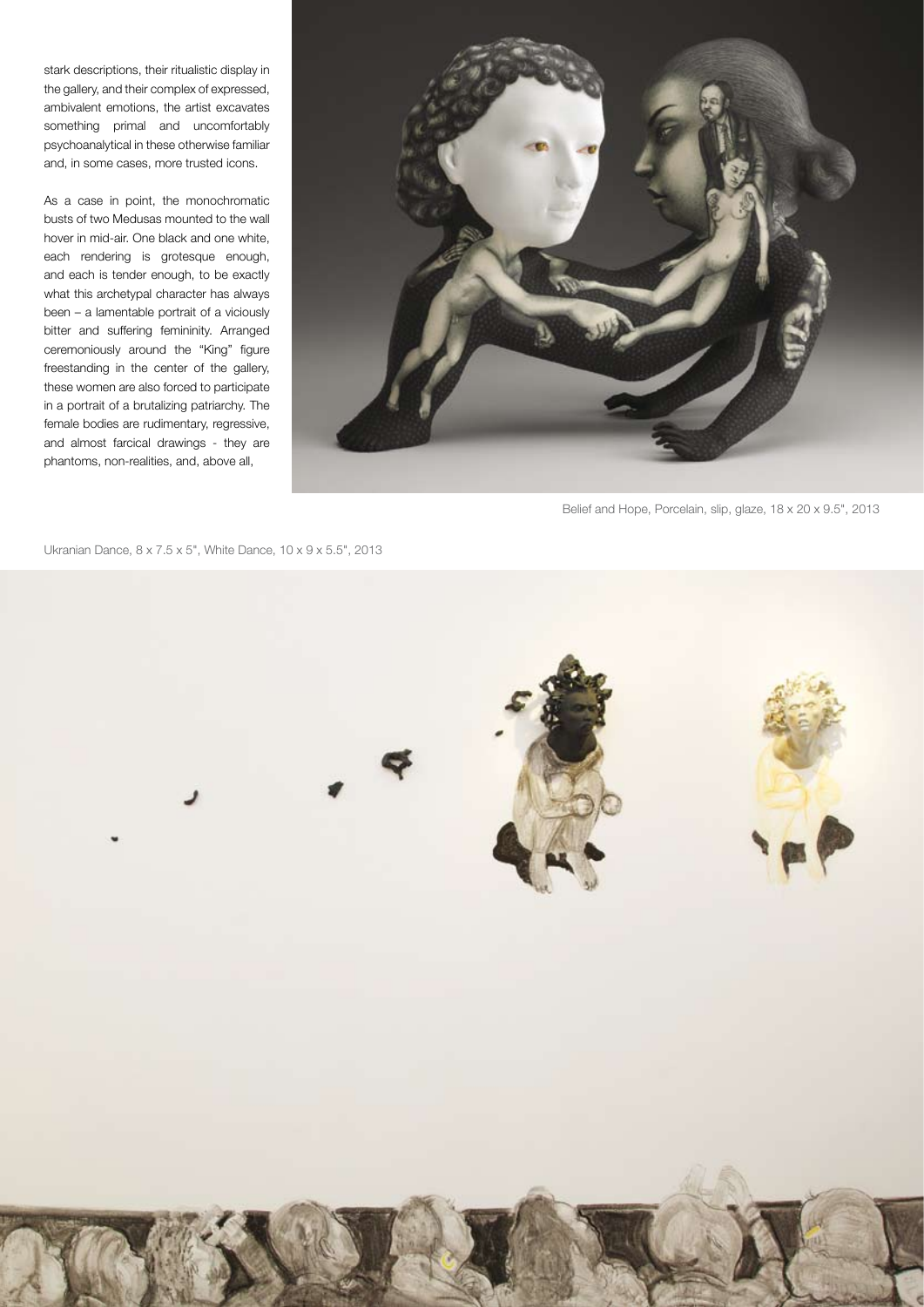stark descriptions, their ritualistic display in the gallery, and their complex of expressed, ambivalent emotions, the artist excavates something primal and uncomfortably psychoanalytical in these otherwise familiar and, in some cases, more trusted icons.

As a case in point, the monochromatic busts of two Medusas mounted to the wall hover in mid-air. One black and one white, each rendering is grotesque enough, and each is tender enough, to be exactly what this archetypal character has always been – a lamentable portrait of a viciously bitter and suffering femininity. Arranged ceremoniously around the "King" figure freestanding in the center of the gallery, these women are also forced to participate in a portrait of a brutalizing patriarchy. The female bodies are rudimentary, regressive, and almost farcical drawings - they are phantoms, non-realities, and, above all,



Belief and Hope, Porcelain, slip, glaze, 18 x 20 x 9.5", 2013

Ukranian Dance, 8 x 7.5 x 5", White Dance, 10 x 9 x 5.5", 2013